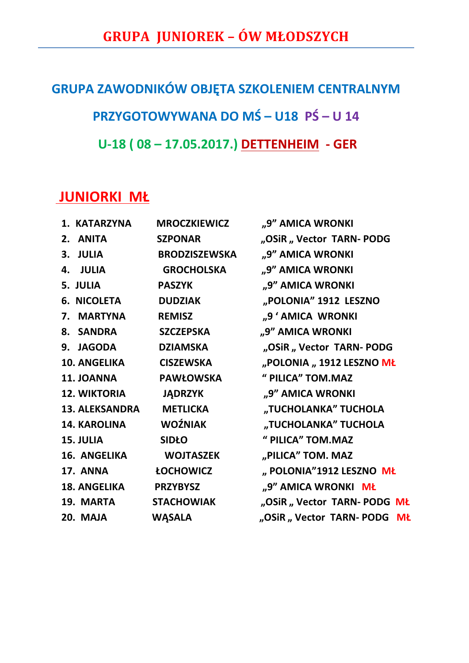## **GRUPA ZAWODNIKÓW OBJĘTA SZKOLENIEM CENTRALNYM PRZYGOTOWYWANA DO MŚ-U18 PŚ-U 14 U-18 ( 08 – 17.05.2017.) DETTENHEIM - GER**

## **JUNIORKI MŁ**

| 1. KATARZYNA          | <b>MROCZKIEWICZ</b>  | "9" AMICA WRONKI           |  |
|-----------------------|----------------------|----------------------------|--|
| 2. ANITA              | <b>SZPONAR</b>       | "OSiR "Vector TARN-PODG    |  |
| 3. JULIA              | <b>BRODZISZEWSKA</b> | "9" AMICA WRONKI           |  |
| 4. JULIA              | <b>GROCHOLSKA</b>    | "9" AMICA WRONKI           |  |
| 5. JULIA              | <b>PASZYK</b>        | "9" AMICA WRONKI           |  |
| <b>6. NICOLETA</b>    | <b>DUDZIAK</b>       | "POLONIA" 1912 LESZNO      |  |
| 7. MARTYNA            | <b>REMISZ</b>        | "9 ' AMICA WRONKI          |  |
| 8. SANDRA             | <b>SZCZEPSKA</b>     | "9" AMICA WRONKI           |  |
| 9. JAGODA             | <b>DZIAMSKA</b>      | "OSiR "Vector TARN-PODG    |  |
| <b>10. ANGELIKA</b>   | <b>CISZEWSKA</b>     | "POLONIA "1912 LESZNO MŁ   |  |
| 11. JOANNA            | <b>PAWŁOWSKA</b>     | " PILICA" TOM.MAZ          |  |
| <b>12. WIKTORIA</b>   | <b>JADRZYK</b>       | "9" AMICA WRONKI           |  |
| <b>13. ALEKSANDRA</b> | <b>METLICKA</b>      | "TUCHOLANKA" TUCHOLA       |  |
| <b>14. KAROLINA</b>   | <b>WOŹNIAK</b>       | "TUCHOLANKA" TUCHOLA       |  |
| 15. JULIA             | <b>SIDŁO</b>         | " PILICA" TOM.MAZ          |  |
| <b>16. ANGELIKA</b>   | <b>WOJTASZEK</b>     | "PILICA" TOM. MAZ          |  |
| 17. ANNA              | <b>ŁOCHOWICZ</b>     | "POLONIA"1912 LESZNO MŁ    |  |
| <b>18. ANGELIKA</b>   | <b>PRZYBYSZ</b>      | "9" AMICA WRONKI MŁ        |  |
| 19. MARTA             | <b>STACHOWIAK</b>    | "OSiR "Vector TARN-PODG MŁ |  |
| 20. MAJA              | <b>WĄSALA</b>        | "OSiR "Vector TARN-PODG MŁ |  |
|                       |                      |                            |  |